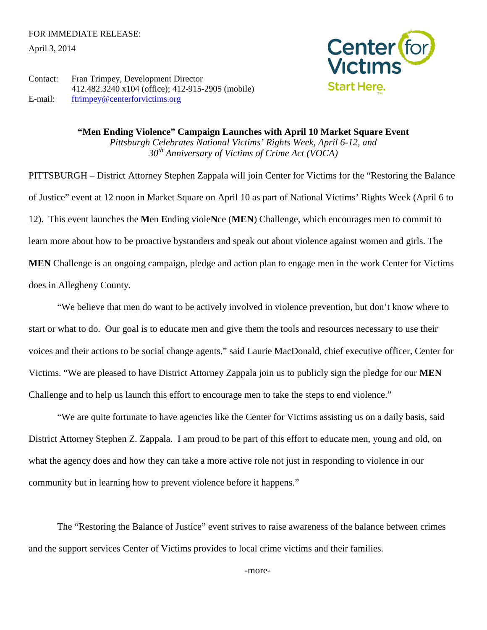April 3, 2014



Contact: Fran Trimpey, Development Director 412.482.3240 x104 (office); 412-915-2905 (mobile) E-mail: [ftrimpey@centerforvictims.org](mailto:ftrimpey@centerforvictims.org)

> **"Men Ending Violence" Campaign Launches with April 10 Market Square Event** *Pittsburgh Celebrates National Victims' Rights Week, April 6-12, and 30th Anniversary of Victims of Crime Act (VOCA)*

PITTSBURGH – District Attorney Stephen Zappala will join Center for Victims for the "Restoring the Balance of Justice" event at 12 noon in Market Square on April 10 as part of National Victims' Rights Week (April 6 to 12). This event launches the **M**en **E**nding viole**N**ce (**MEN**) Challenge, which encourages men to commit to learn more about how to be proactive bystanders and speak out about violence against women and girls. The **MEN** Challenge is an ongoing campaign, pledge and action plan to engage men in the work Center for Victims does in Allegheny County.

"We believe that men do want to be actively involved in violence prevention, but don't know where to start or what to do. Our goal is to educate men and give them the tools and resources necessary to use their voices and their actions to be social change agents," said Laurie MacDonald, chief executive officer, Center for Victims. "We are pleased to have District Attorney Zappala join us to publicly sign the pledge for our **MEN** Challenge and to help us launch this effort to encourage men to take the steps to end violence."

"We are quite fortunate to have agencies like the Center for Victims assisting us on a daily basis, said District Attorney Stephen Z. Zappala. I am proud to be part of this effort to educate men, young and old, on what the agency does and how they can take a more active role not just in responding to violence in our community but in learning how to prevent violence before it happens."

The "Restoring the Balance of Justice" event strives to raise awareness of the balance between crimes and the support services Center of Victims provides to local crime victims and their families.